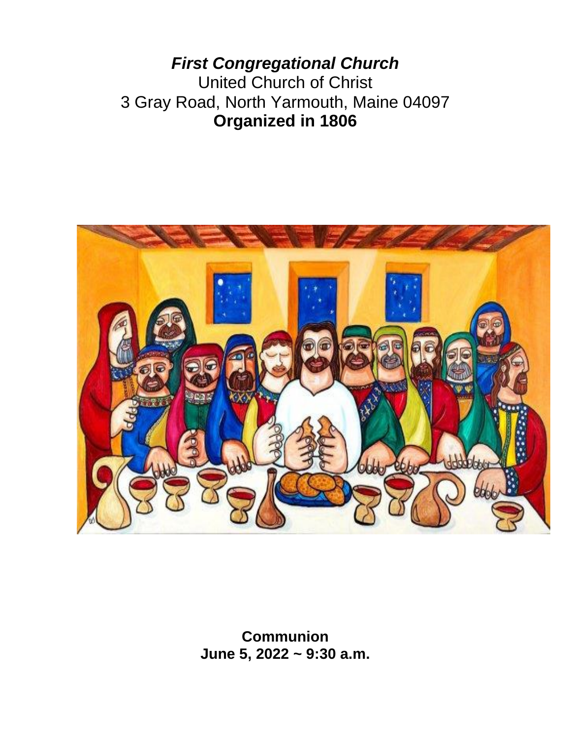*First Congregational Church* United Church of Christ 3 Gray Road, North Yarmouth, Maine 04097 **Organized in 1806**



**Communion June 5, 2022 ~ 9:30 a.m.**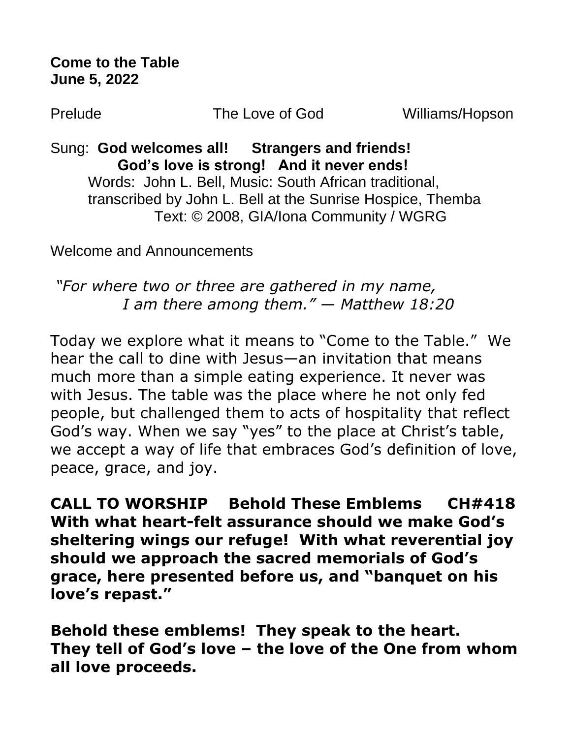**Come to the Table June 5, 2022**

Prelude The Love of God Williams/Hopson

Sung: **God welcomes all! Strangers and friends! God's love is strong! And it never ends!**  Words: John L. Bell, Music: South African traditional, transcribed by John L. Bell at the Sunrise Hospice, Themba Text: © 2008, GIA/Iona Community / WGRG

Welcome and Announcements

*"For where two or three are gathered in my name, I am there among them." — Matthew 18:20*

Today we explore what it means to "Come to the Table." We hear the call to dine with Jesus—an invitation that means much more than a simple eating experience. It never was with Jesus. The table was the place where he not only fed people, but challenged them to acts of hospitality that reflect God's way. When we say "yes" to the place at Christ's table, we accept a way of life that embraces God's definition of love, peace, grace, and joy.

**CALL TO WORSHIP Behold These Emblems CH#418 With what heart-felt assurance should we make God's sheltering wings our refuge! With what reverential joy should we approach the sacred memorials of God's grace, here presented before us, and "banquet on his love's repast."** 

**Behold these emblems! They speak to the heart. They tell of God's love – the love of the One from whom all love proceeds.**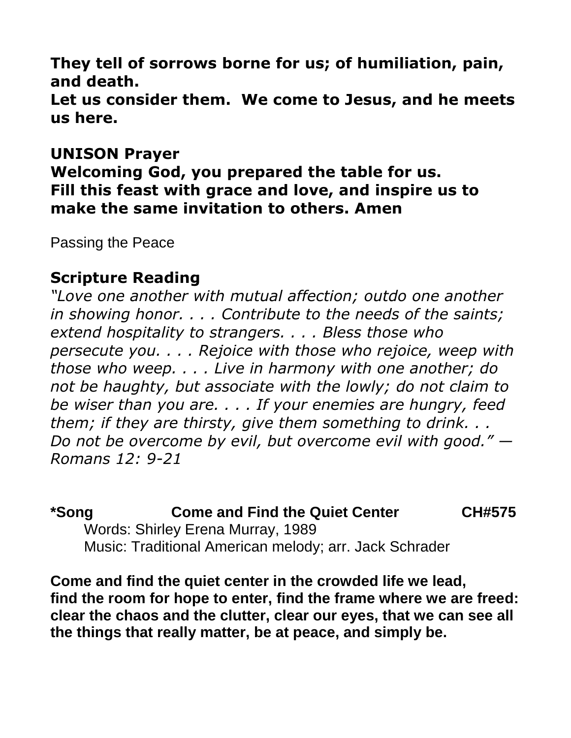**They tell of sorrows borne for us; of humiliation, pain, and death.**

**Let us consider them. We come to Jesus, and he meets us here.**

### **UNISON Prayer**

**Welcoming God, you prepared the table for us. Fill this feast with grace and love, and inspire us to make the same invitation to others. Amen**

Passing the Peace

### **Scripture Reading**

*"Love one another with mutual affection; outdo one another in showing honor. . . . Contribute to the needs of the saints; extend hospitality to strangers. . . . Bless those who persecute you. . . . Rejoice with those who rejoice, weep with those who weep. . . . Live in harmony with one another; do not be haughty, but associate with the lowly; do not claim to be wiser than you are. . . . If your enemies are hungry, feed them; if they are thirsty, give them something to drink. . . Do not be overcome by evil, but overcome evil with good." — Romans 12: 9-21*

**\*Song Come and Find the Quiet Center CH#575** Words: Shirley Erena Murray, 1989 Music: Traditional American melody; arr. Jack Schrader

**Come and find the quiet center in the crowded life we lead, find the room for hope to enter, find the frame where we are freed: clear the chaos and the clutter, clear our eyes, that we can see all the things that really matter, be at peace, and simply be.**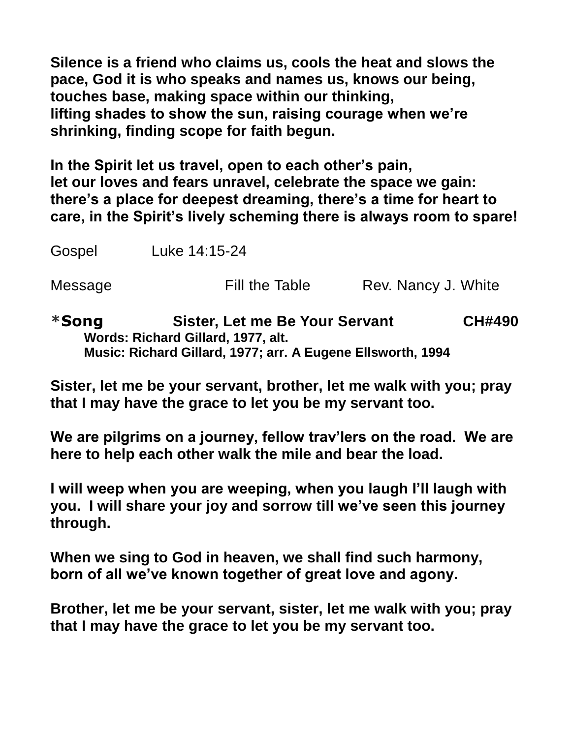**Silence is a friend who claims us, cools the heat and slows the pace, God it is who speaks and names us, knows our being, touches base, making space within our thinking, lifting shades to show the sun, raising courage when we're shrinking, finding scope for faith begun.**

**In the Spirit let us travel, open to each other's pain, let our loves and fears unravel, celebrate the space we gain: there's a place for deepest dreaming, there's a time for heart to care, in the Spirit's lively scheming there is always room to spare!**

Gospel Luke 14:15-24

Message Fill the Table Rev. Nancy J. White

**\*Song Sister, Let me Be Your Servant CH#490 Words: Richard Gillard, 1977, alt. Music: Richard Gillard, 1977; arr. A Eugene Ellsworth, 1994**

**Sister, let me be your servant, brother, let me walk with you; pray that I may have the grace to let you be my servant too.**

**We are pilgrims on a journey, fellow trav'lers on the road. We are here to help each other walk the mile and bear the load.**

**I will weep when you are weeping, when you laugh I'll laugh with you. I will share your joy and sorrow till we've seen this journey through.**

**When we sing to God in heaven, we shall find such harmony, born of all we've known together of great love and agony.**

**Brother, let me be your servant, sister, let me walk with you; pray that I may have the grace to let you be my servant too.**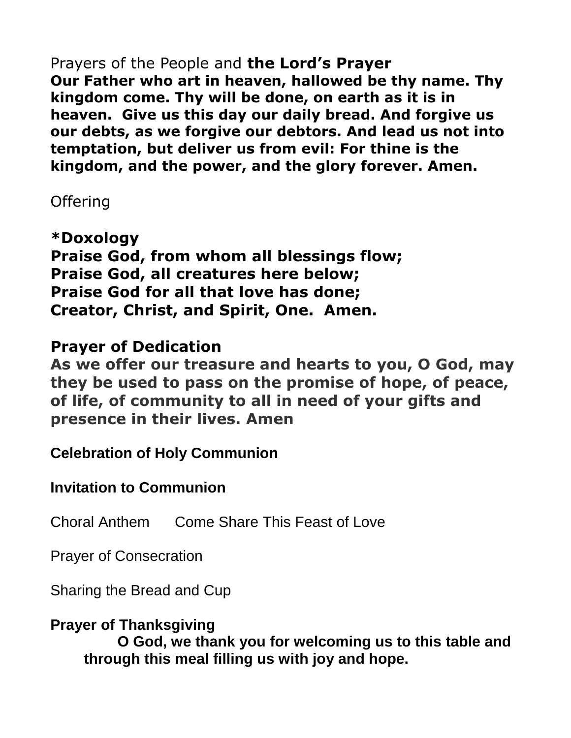Prayers of the People and **the Lord's Prayer Our Father who art in heaven, hallowed be thy name. Thy kingdom come. Thy will be done, on earth as it is in heaven. Give us this day our daily bread. And forgive us our debts, as we forgive our debtors. And lead us not into temptation, but deliver us from evil: For thine is the kingdom, and the power, and the glory forever. Amen.**

## **Offering**

**\*Doxology Praise God, from whom all blessings flow; Praise God, all creatures here below; Praise God for all that love has done; Creator, Christ, and Spirit, One. Amen.** 

# **Prayer of Dedication**

**As we offer our treasure and hearts to you, O God, may they be used to pass on the promise of hope, of peace, of life, of community to all in need of your gifts and presence in their lives. Amen**

**Celebration of Holy Communion**

**Invitation to Communion** 

Choral Anthem Come Share This Feast of Love

Prayer of Consecration

Sharing the Bread and Cup

**Prayer of Thanksgiving O God, we thank you for welcoming us to this table and through this meal filling us with joy and hope.**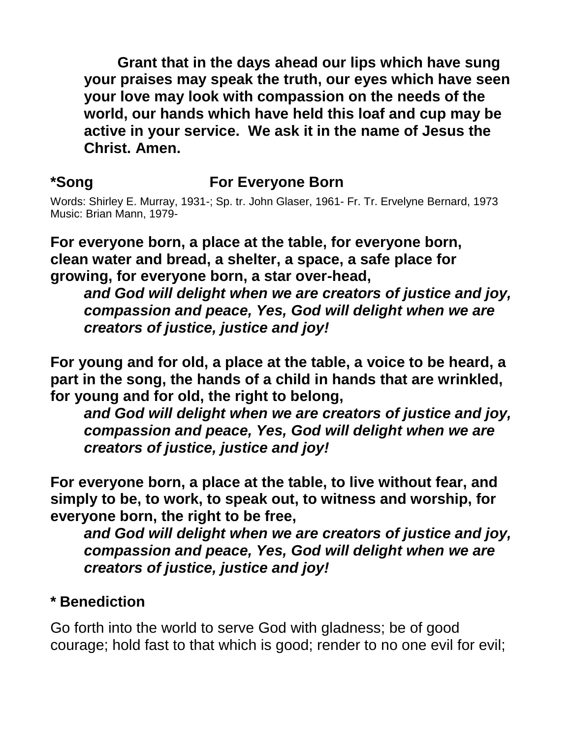**Grant that in the days ahead our lips which have sung your praises may speak the truth, our eyes which have seen your love may look with compassion on the needs of the world, our hands which have held this loaf and cup may be active in your service. We ask it in the name of Jesus the Christ. Amen.**

## **\*Song For Everyone Born**

Words: Shirley E. Murray, 1931-; Sp. tr. John Glaser, 1961- Fr. Tr. Ervelyne Bernard, 1973 Music: Brian Mann, 1979-

**For everyone born, a place at the table, for everyone born, clean water and bread, a shelter, a space, a safe place for growing, for everyone born, a star over-head,** 

*and God will delight when we are creators of justice and joy, compassion and peace, Yes, God will delight when we are creators of justice, justice and joy!*

**For young and for old, a place at the table, a voice to be heard, a part in the song, the hands of a child in hands that are wrinkled, for young and for old, the right to belong,** 

*and God will delight when we are creators of justice and joy, compassion and peace, Yes, God will delight when we are creators of justice, justice and joy!*

**For everyone born, a place at the table, to live without fear, and simply to be, to work, to speak out, to witness and worship, for everyone born, the right to be free,** 

*and God will delight when we are creators of justice and joy, compassion and peace, Yes, God will delight when we are creators of justice, justice and joy!* 

#### **\* Benediction**

Go forth into the world to serve God with gladness; be of good courage; hold fast to that which is good; render to no one evil for evil;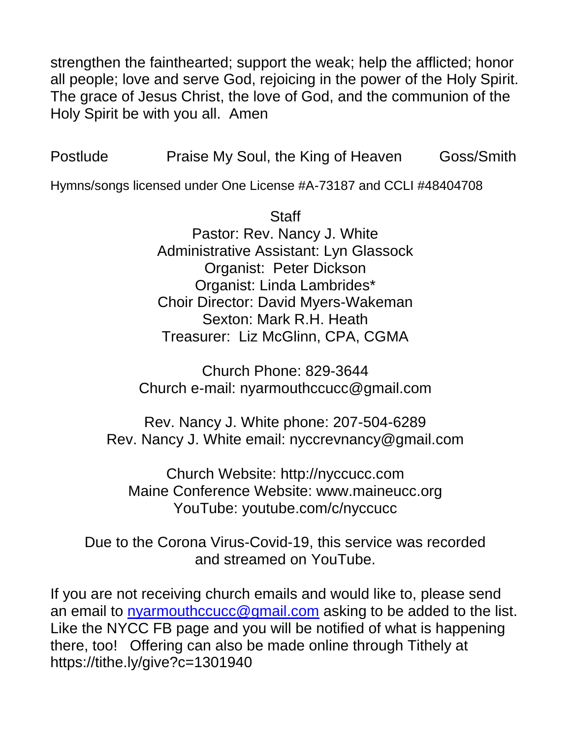strengthen the fainthearted; support the weak; help the afflicted; honor all people; love and serve God, rejoicing in the power of the Holy Spirit. The grace of Jesus Christ, the love of God, and the communion of the Holy Spirit be with you all. Amen

Postlude Praise My Soul, the King of Heaven Goss/Smith

Hymns/songs licensed under One License #A-73187 and CCLI #48404708

**Staff** Pastor: Rev. Nancy J. White Administrative Assistant: Lyn Glassock Organist: Peter Dickson Organist: Linda Lambrides\* Choir Director: David Myers-Wakeman Sexton: Mark R.H. Heath Treasurer: Liz McGlinn, CPA, CGMA

Church Phone: 829-3644 Church e-mail: nyarmouthccucc@gmail.com

Rev. Nancy J. White phone: 207-504-6289 Rev. Nancy J. White email: nyccrevnancy@gmail.com

Church Website: http://nyccucc.com Maine Conference Website: www.maineucc.org YouTube: youtube.com/c/nyccucc

Due to the Corona Virus-Covid-19, this service was recorded and streamed on YouTube.

If you are not receiving church emails and would like to, please send an email to [nyarmouthccucc@gmail.com](mailto:nyarmouthccucc@gmail.com) asking to be added to the list. Like the NYCC FB page and you will be notified of what is happening there, too! Offering can also be made online through Tithely at https://tithe.ly/give?c=1301940